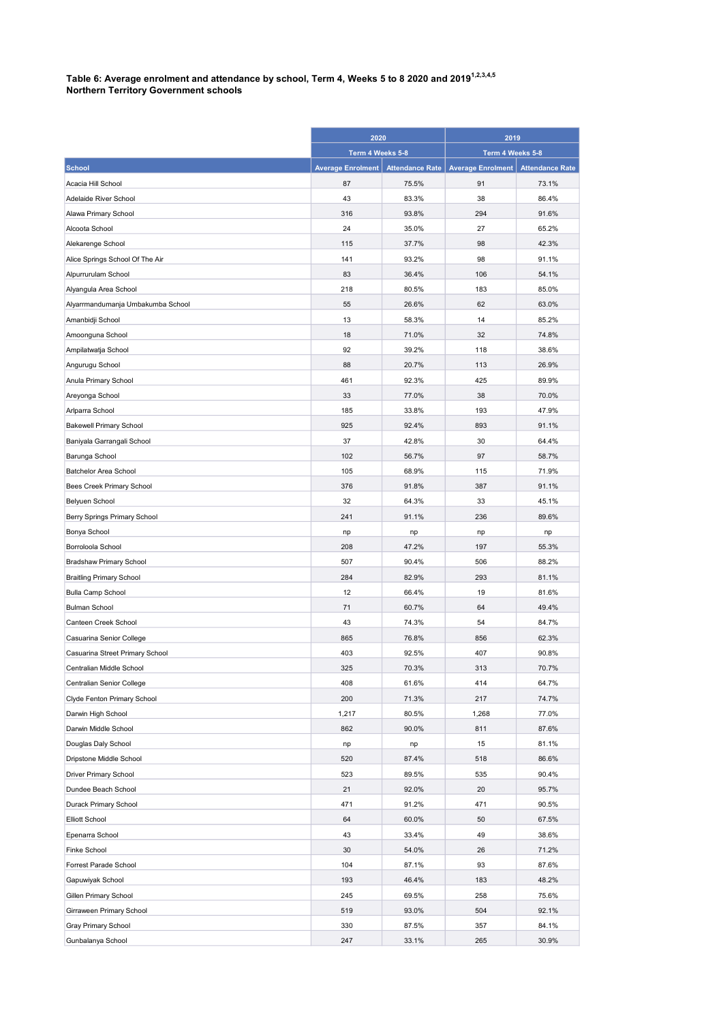## Table 6: Average enrolment and attendance by school, Term 4, Weeks 5 to 8 2020 and 2019 $^{\rm 1.2,3.4,5}$ Northern Territory Government schools

|                                   | 2020                     |                        | 2019                     |                        |
|-----------------------------------|--------------------------|------------------------|--------------------------|------------------------|
|                                   | Term 4 Weeks 5-8         |                        | Term 4 Weeks 5-8         |                        |
| <b>School</b>                     | <b>Average Enrolment</b> | <b>Attendance Rate</b> | <b>Average Enrolment</b> | <b>Attendance Rate</b> |
| Acacia Hill School                | 87                       | 75.5%                  | 91                       | 73.1%                  |
| Adelaide River School             | 43                       | 83.3%                  | 38                       | 86.4%                  |
| Alawa Primary School              | 316                      | 93.8%                  | 294                      | 91.6%                  |
| Alcoota School                    | 24                       | 35.0%                  | 27                       | 65.2%                  |
| Alekarenge School                 | 115                      | 37.7%                  | 98                       | 42.3%                  |
| Alice Springs School Of The Air   | 141                      | 93.2%                  | 98                       | 91.1%                  |
| Alpurrurulam School               | 83                       | 36.4%                  | 106                      | 54.1%                  |
| Alyangula Area School             | 218                      | 80.5%                  | 183                      | 85.0%                  |
| Alyarrmandumanja Umbakumba School | 55                       | 26.6%                  | 62                       | 63.0%                  |
| Amanbidji School                  | 13                       | 58.3%                  | 14                       | 85.2%                  |
| Amoonguna School                  | 18                       | 71.0%                  | 32                       | 74.8%                  |
| Ampilatwatja School               | 92                       | 39.2%                  | 118                      | 38.6%                  |
| Angurugu School                   | 88                       | 20.7%                  | 113                      | 26.9%                  |
| Anula Primary School              | 461                      | 92.3%                  | 425                      | 89.9%                  |
| Areyonga School                   | 33                       | 77.0%                  | 38                       | 70.0%                  |
| Arlparra School                   | 185                      | 33.8%                  | 193                      | 47.9%                  |
| <b>Bakewell Primary School</b>    | 925                      | 92.4%                  | 893                      | 91.1%                  |
| Baniyala Garrangali School        | 37                       | 42.8%                  | 30                       | 64.4%                  |
| Barunga School                    | 102                      | 56.7%                  | 97                       | 58.7%                  |
| Batchelor Area School             | 105                      | 68.9%                  | 115                      | 71.9%                  |
| Bees Creek Primary School         | 376                      | 91.8%                  | 387                      | 91.1%                  |
| Belyuen School                    | 32                       | 64.3%                  | 33                       | 45.1%                  |
| Berry Springs Primary School      | 241                      | 91.1%                  | 236                      | 89.6%                  |
| Bonya School                      | np                       | np                     | np                       | np                     |
| Borroloola School                 | 208                      | 47.2%                  | 197                      | 55.3%                  |
| Bradshaw Primary School           | 507                      | 90.4%                  | 506                      | 88.2%                  |
| <b>Braitling Primary School</b>   | 284                      | 82.9%                  | 293                      | 81.1%                  |
| <b>Bulla Camp School</b>          | 12                       | 66.4%                  | 19                       | 81.6%                  |
| <b>Bulman School</b>              | 71                       | 60.7%                  | 64                       | 49.4%                  |
| Canteen Creek School              | 43                       | 74.3%                  | 54                       | 84.7%                  |
| Casuarina Senior College          | 865                      | 76.8%                  | 856                      | 62.3%                  |
| Casuarina Street Primary School   | 403                      | 92.5%                  | 407                      | 90.8%                  |
| Centralian Middle School          | 325                      | 70.3%                  | 313                      | 70.7%                  |
| Centralian Senior College         | 408                      | 61.6%                  | 414                      | 64.7%                  |
| Clyde Fenton Primary School       | 200                      | 71.3%                  | 217                      | 74.7%                  |
| Darwin High School                | 1,217                    | 80.5%                  | 1,268                    | 77.0%                  |
| Darwin Middle School              | 862                      | 90.0%                  | 811                      | 87.6%                  |
| Douglas Daly School               | np                       | np                     | 15                       | 81.1%                  |
| Dripstone Middle School           | 520                      | 87.4%                  | 518                      | 86.6%                  |
| <b>Driver Primary School</b>      | 523                      | 89.5%                  | 535                      | 90.4%                  |
| Dundee Beach School               | 21                       | 92.0%                  | 20                       | 95.7%                  |
| Durack Primary School             | 471                      | 91.2%                  | 471                      | 90.5%                  |
| <b>Elliott School</b>             | 64                       | 60.0%                  | 50                       | 67.5%                  |
| Epenarra School                   | 43                       | 33.4%                  | 49                       | 38.6%                  |
| <b>Finke School</b>               | 30                       | 54.0%                  | 26                       | 71.2%                  |
| Forrest Parade School             | 104                      | 87.1%                  | 93                       | 87.6%                  |
| Gapuwiyak School                  | 193                      | 46.4%                  | 183                      | 48.2%                  |
| Gillen Primary School             | 245                      | 69.5%                  | 258                      | 75.6%                  |
| Girraween Primary School          | 519                      | 93.0%                  | 504                      | 92.1%                  |
| Gray Primary School               | 330                      | 87.5%                  | 357                      | 84.1%                  |
| Gunbalanya School                 | 247                      | 33.1%                  | 265                      | 30.9%                  |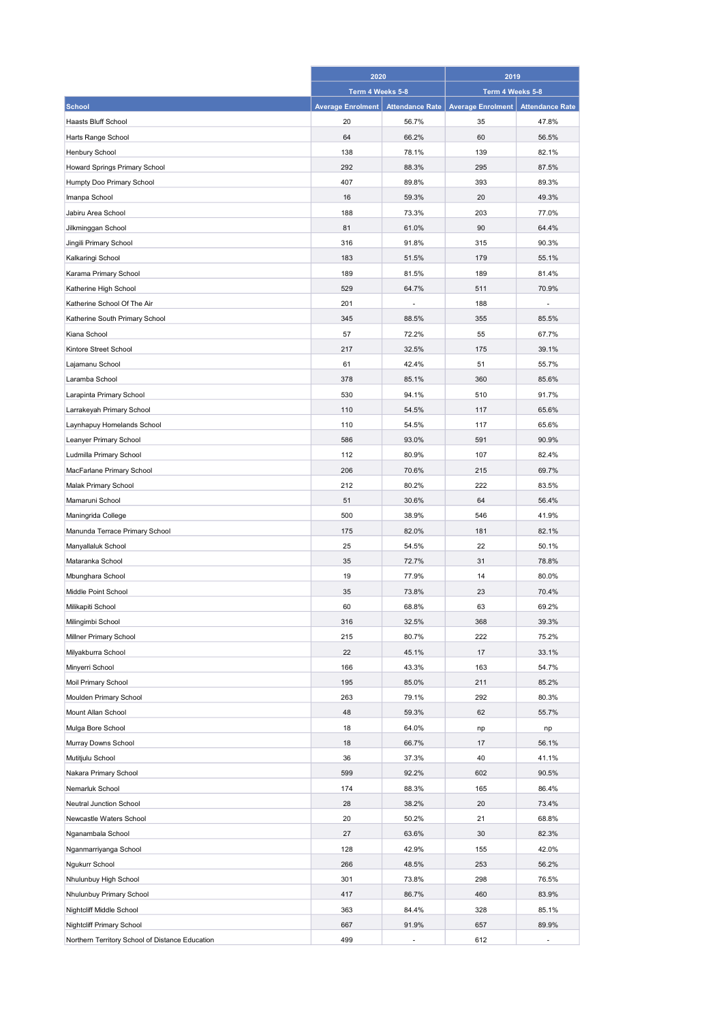|                                                 | 2020                     |                        | 2019                     |                        |
|-------------------------------------------------|--------------------------|------------------------|--------------------------|------------------------|
|                                                 | Term 4 Weeks 5-8         |                        | Term 4 Weeks 5-8         |                        |
| <b>School</b>                                   | <b>Average Enrolment</b> | <b>Attendance Rate</b> | <b>Average Enrolment</b> | <b>Attendance Rate</b> |
| Haasts Bluff School                             | 20                       | 56.7%                  | 35                       | 47.8%                  |
| Harts Range School                              | 64                       | 66.2%                  | 60                       | 56.5%                  |
| Henbury School                                  | 138                      | 78.1%                  | 139                      | 82.1%                  |
| Howard Springs Primary School                   | 292                      | 88.3%                  | 295                      | 87.5%                  |
| Humpty Doo Primary School                       | 407                      | 89.8%                  | 393                      | 89.3%                  |
| Imanpa School                                   | 16                       | 59.3%                  | 20                       | 49.3%                  |
| Jabiru Area School                              | 188                      | 73.3%                  | 203                      | 77.0%                  |
| Jilkminggan School                              | 81                       | 61.0%                  | 90                       | 64.4%                  |
| Jingili Primary School                          | 316                      | 91.8%                  | 315                      | 90.3%                  |
| Kalkaringi School                               | 183                      | 51.5%                  | 179                      | 55.1%                  |
| Karama Primary School                           | 189                      | 81.5%                  | 189                      | 81.4%                  |
| Katherine High School                           | 529                      | 64.7%                  | 511                      | 70.9%                  |
| Katherine School Of The Air                     | 201                      |                        | 188                      |                        |
| Katherine South Primary School                  | 345                      | 88.5%                  | 355                      | 85.5%                  |
| Kiana School                                    | 57                       | 72.2%                  | 55                       | 67.7%                  |
| Kintore Street School                           | 217                      | 32.5%                  | 175                      | 39.1%                  |
| Lajamanu School                                 | 61                       | 42.4%                  | 51                       | 55.7%                  |
| Laramba School                                  | 378                      | 85.1%                  | 360                      | 85.6%                  |
| Larapinta Primary School                        | 530                      | 94.1%                  | 510                      | 91.7%                  |
| Larrakeyah Primary School                       | 110                      | 54.5%                  | 117                      | 65.6%                  |
| Laynhapuy Homelands School                      | 110                      | 54.5%                  | 117                      | 65.6%                  |
| Leanyer Primary School                          | 586                      | 93.0%                  | 591                      | 90.9%                  |
| Ludmilla Primary School                         | 112                      | 80.9%                  | 107                      | 82.4%                  |
| MacFarlane Primary School                       | 206                      | 70.6%                  | 215                      | 69.7%                  |
|                                                 | 212                      | 80.2%                  | 222                      |                        |
| Malak Primary School                            | 51                       | 30.6%                  | 64                       | 83.5%<br>56.4%         |
| Mamaruni School                                 |                          |                        |                          |                        |
| Maningrida College                              | 500                      | 38.9%                  | 546                      | 41.9%                  |
| Manunda Terrace Primary School                  | 175                      | 82.0%                  | 181                      | 82.1%                  |
| Manyallaluk School                              | 25                       | 54.5%                  | 22                       | 50.1%                  |
| Mataranka School                                | 35                       | 72.7%                  | 31                       | 78.8%                  |
| Mbunghara School                                | 19                       | 77.9%                  | 14                       | 80.0%                  |
| Middle Point School                             | 35                       | 73.8%                  | 23                       | 70.4%                  |
| Milikapiti School                               | 60                       | 68.8%                  | 63                       | 69.2%                  |
| Milingimbi School                               | 316                      | 32.5%                  | 368                      | 39.3%                  |
| Millner Primary School                          | 215                      | 80.7%                  | 222                      | 75.2%                  |
| Milyakburra School                              | 22                       | 45.1%                  | 17                       | 33.1%                  |
| Minyerri School                                 | 166                      | 43.3%                  | 163                      | 54.7%                  |
| Moil Primary School                             | 195                      | 85.0%                  | 211                      | 85.2%                  |
| Moulden Primary School                          | 263                      | 79.1%                  | 292                      | 80.3%                  |
| Mount Allan School                              | 48                       | 59.3%                  | 62                       | 55.7%                  |
| Mulga Bore School                               | 18                       | 64.0%                  | np                       | np                     |
| Murray Downs School                             | 18                       | 66.7%                  | 17                       | 56.1%                  |
| Mutitjulu School                                | 36                       | 37.3%                  | 40                       | 41.1%                  |
| Nakara Primary School                           | 599                      | 92.2%                  | 602                      | 90.5%                  |
| Nemarluk School                                 | 174                      | 88.3%                  | 165                      | 86.4%                  |
| Neutral Junction School                         | 28                       | 38.2%                  | 20                       | 73.4%                  |
| Newcastle Waters School                         | 20                       | 50.2%                  | 21                       | 68.8%                  |
| Nganambala School                               | 27                       | 63.6%                  | 30                       | 82.3%                  |
| Nganmarriyanga School                           | 128                      | 42.9%                  | 155                      | 42.0%                  |
| Ngukurr School                                  | 266                      | 48.5%                  | 253                      | 56.2%                  |
| Nhulunbuy High School                           | 301                      | 73.8%                  | 298                      | 76.5%                  |
| Nhulunbuy Primary School                        | 417                      | 86.7%                  | 460                      | 83.9%                  |
| Nightcliff Middle School                        | 363                      | 84.4%                  | 328                      | 85.1%                  |
| Nightcliff Primary School                       | 667                      | 91.9%                  | 657                      | 89.9%                  |
| Northern Territory School of Distance Education | 499                      | ÷,                     | 612                      |                        |